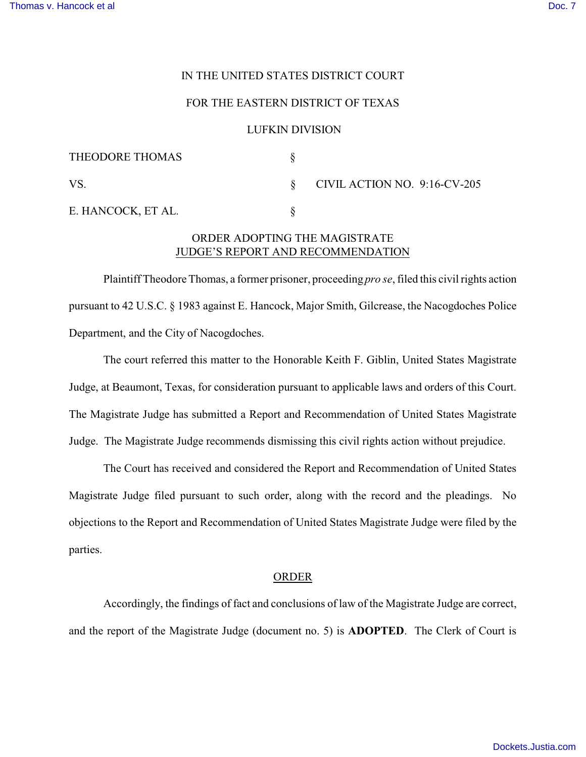## IN THE UNITED STATES DISTRICT COURT

### FOR THE EASTERN DISTRICT OF TEXAS

### LUFKIN DIVISION

| THEODORE THOMAS    |                              |
|--------------------|------------------------------|
| VS.                | CIVIL ACTION NO. 9:16-CV-205 |
| E. HANCOCK, ET AL. |                              |

# ORDER ADOPTING THE MAGISTRATE JUDGE'S REPORT AND RECOMMENDATION

Plaintiff Theodore Thomas, a former prisoner, proceeding *pro se*, filed this civil rights action pursuant to 42 U.S.C. § 1983 against E. Hancock, Major Smith, Gilcrease, the Nacogdoches Police Department, and the City of Nacogdoches.

The court referred this matter to the Honorable Keith F. Giblin, United States Magistrate Judge, at Beaumont, Texas, for consideration pursuant to applicable laws and orders of this Court. The Magistrate Judge has submitted a Report and Recommendation of United States Magistrate Judge. The Magistrate Judge recommends dismissing this civil rights action without prejudice.

The Court has received and considered the Report and Recommendation of United States Magistrate Judge filed pursuant to such order, along with the record and the pleadings. No objections to the Report and Recommendation of United States Magistrate Judge were filed by the parties.

#### ORDER

Accordingly, the findings of fact and conclusions of law of the Magistrate Judge are correct, and the report of the Magistrate Judge (document no. 5) is **ADOPTED**. The Clerk of Court is